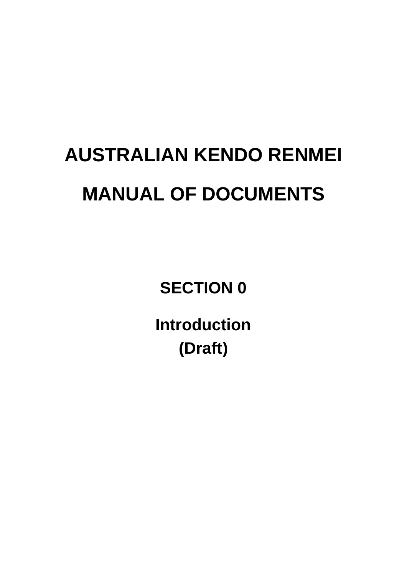# **AUSTRALIAN KENDO RENMEI MANUAL OF DOCUMENTS**

**SECTION 0**

**Introduction (Draft)**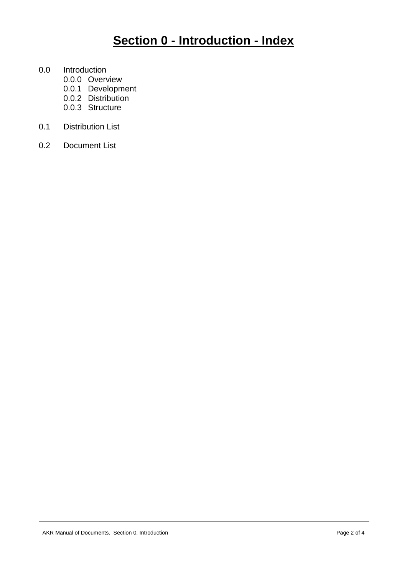## **Section 0 - Introduction - Index**

- 0.0 Introduction
	- 0.0.0 Overview
	- 0.0.1 Development
	- 0.0.2 Distribution
	- 0.0.3 Structure
- 0.1 Distribution List
- 0.2 Document List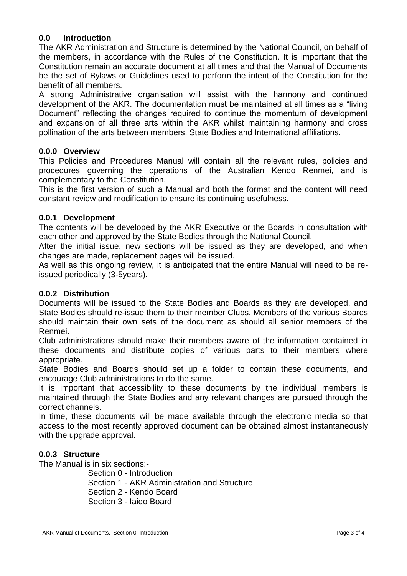#### **0.0 Introduction**

The AKR Administration and Structure is determined by the National Council, on behalf of the members, in accordance with the Rules of the Constitution. It is important that the Constitution remain an accurate document at all times and that the Manual of Documents be the set of Bylaws or Guidelines used to perform the intent of the Constitution for the benefit of all members.

A strong Administrative organisation will assist with the harmony and continued development of the AKR. The documentation must be maintained at all times as a "living Document" reflecting the changes required to continue the momentum of development and expansion of all three arts within the AKR whilst maintaining harmony and cross pollination of the arts between members, State Bodies and International affiliations.

#### **0.0.0 Overview**

This Policies and Procedures Manual will contain all the relevant rules, policies and procedures governing the operations of the Australian Kendo Renmei, and is complementary to the Constitution.

This is the first version of such a Manual and both the format and the content will need constant review and modification to ensure its continuing usefulness.

#### **0.0.1 Development**

The contents will be developed by the AKR Executive or the Boards in consultation with each other and approved by the State Bodies through the National Council.

After the initial issue, new sections will be issued as they are developed, and when changes are made, replacement pages will be issued.

As well as this ongoing review, it is anticipated that the entire Manual will need to be reissued periodically (3-5years).

#### **0.0.2 Distribution**

Documents will be issued to the State Bodies and Boards as they are developed, and State Bodies should re-issue them to their member Clubs. Members of the various Boards should maintain their own sets of the document as should all senior members of the Renmei.

Club administrations should make their members aware of the information contained in these documents and distribute copies of various parts to their members where appropriate.

State Bodies and Boards should set up a folder to contain these documents, and encourage Club administrations to do the same.

It is important that accessibility to these documents by the individual members is maintained through the State Bodies and any relevant changes are pursued through the correct channels.

In time, these documents will be made available through the electronic media so that access to the most recently approved document can be obtained almost instantaneously with the upgrade approval.

#### **0.0.3 Structure**

The Manual is in six sections:-

Section 0 - Introduction

Section 1 - AKR Administration and Structure

Section 2 - Kendo Board

Section 3 - Iaido Board